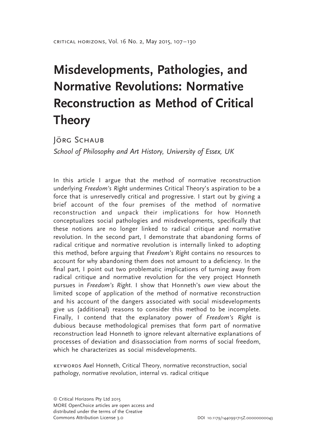# Misdevelopments, Pathologies, and Normative Revolutions: Normative Reconstruction as Method of Critical Theory

JÖRG SCHAUB

School of Philosophy and Art History, University of Essex, UK

In this article I argue that the method of normative reconstruction underlying Freedom's Right undermines Critical Theory's aspiration to be a force that is unreservedly critical and progressive. I start out by giving a brief account of the four premises of the method of normative reconstruction and unpack their implications for how Honneth conceptualizes social pathologies and misdevelopments, specifically that these notions are no longer linked to radical critique and normative revolution. In the second part, I demonstrate that abandoning forms of radical critique and normative revolution is internally linked to adopting this method, before arguing that Freedom's Right contains no resources to account for why abandoning them does not amount to a deficiency. In the final part, I point out two problematic implications of turning away from radical critique and normative revolution for the very project Honneth pursues in Freedom's Right. I show that Honneth's own view about the limited scope of application of the method of normative reconstruction and his account of the dangers associated with social misdevelopments give us (additional) reasons to consider this method to be incomplete. Finally, I contend that the explanatory power of Freedom's Right is dubious because methodological premises that form part of normative reconstruction lead Honneth to ignore relevant alternative explanations of processes of deviation and disassociation from norms of social freedom, which he characterizes as social misdevelopments.

keywords Axel Honneth, Critical Theory, normative reconstruction, social pathology, normative revolution, internal vs. radical critique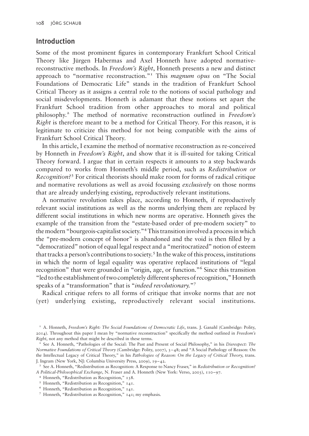# Introduction

Some of the most prominent figures in contemporary Frankfurt School Critical Theory like Jürgen Habermas and Axel Honneth have adopted normativereconstructive methods. In Freedom's Right, Honneth presents a new and distinct approach to "normative reconstruction."<sup>1</sup> This *magnum opus* on "The Social Foundations of Democratic Life" stands in the tradition of Frankfurt School Critical Theory as it assigns a central role to the notions of social pathology and social misdevelopments. Honneth is adamant that these notions set apart the Frankfurt School tradition from other approaches to moral and political philosophy.2 The method of normative reconstruction outlined in Freedom's Right is therefore meant to be a method for Critical Theory. For this reason, it is legitimate to criticize this method for not being compatible with the aims of Frankfurt School Critical Theory.

In this article, I examine the method of normative reconstruction as re-conceived by Honneth in Freedom's Right, and show that it is ill-suited for taking Critical Theory forward. I argue that in certain respects it amounts to a step backwards compared to works from Honneth's middle period, such as Redistribution or Recognition?<sup>3</sup> For critical theorists should make room for forms of radical critique and normative revolutions as well as avoid focussing exclusively on those norms that are already underlying existing, reproductively relevant institutions.

A normative revolution takes place, according to Honneth, if reproductively relevant social institutions as well as the norms underlying them are replaced by different social institutions in which new norms are operative. Honneth gives the example of the transition from the "estate-based order of pre-modern society" to the modern "bourgeois-capitalist society."4This transition involved a processin which the "pre-modern concept of honor" is abandoned and the void is then filled by a "democratized" notion of equal legal respect and a "meritocratized" notion of esteem that tracks a person's contributions to society.<sup>5</sup> In the wake of this process, institutions in which the norm of legal equality was operative replaced institutions of "legal recognition" that were grounded in "origin, age, or function."6 Since this transition "led to the establishment of two completely different spheres of recognition," Honneth speaks of a "transformation" that is "*indeed revolutionary*."<sup>7</sup>

Radical critique refers to all forms of critique that invoke norms that are not (yet) underlying existing, reproductively relevant social institutions.

<sup>&</sup>lt;sup>1</sup> [A. Honneth,](#page-22-0) Freedom's Right: The Social Foundations of Democratic Life, trans. J. Ganahl (Cambridge: Polity, 2014). Throughout this paper I mean by "normative reconstruction" specifically the method outlined in Freedom's Right, not any method that might be described in these terms.

<sup>&</sup>lt;sup>2</sup> See [A. Honneth,](#page-22-0) "Pathologies of the Social: The Past and Present of Social Philosophy," in his Disrespect: The Normative Foundations of Critical Theory (Cambridge: Polity, 2007), 3–48; and "A Social Pathology of Reason: On the Intellectual Legacy of Critical Theory," in his [Pathologies of Reason: On the Legacy of Critical Theory](#page-22-0), trans. J. Ingram (New York, NJ: Columbia University Press, 2009), 19–42.

<sup>&</sup>lt;sup>3</sup> See [A. Honneth,](#page-22-0) "Redistribution as Recognition: A Response to Nancy Fraser," in Redistribution or Recognition? A Political-Philosophical Exchange, N. Fraser and A. Honneth (New York: Verso, 2003), 110–97.

<sup>4</sup> Honneth, "Redistribution as Recognition," 138.

<sup>5</sup> Honneth, "Redistribution as Recognition," 141.

<sup>6</sup> Honneth, "Redistribution as Recognition," 141.

<sup>7</sup> Honneth, "Redistribution as Recognition," 141; my emphasis.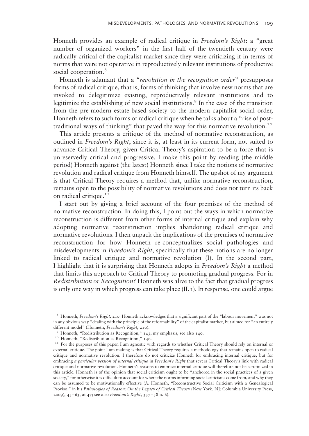Honneth provides an example of radical critique in Freedom's Right: a "great number of organized workers" in the first half of the twentieth century were radically critical of the capitalist market since they were criticizing it in terms of norms that were not operative in reproductively relevant institutions of productive social cooperation.<sup>8</sup>

Honneth is adamant that a "revolution in the recognition order" presupposes forms of radical critique, that is, forms of thinking that involve new norms that are invoked to delegitimize existing, reproductively relevant institutions and to legitimize the establishing of new social institutions.<sup>9</sup> In the case of the transition from the pre-modern estate-based society to the modern capitalist social order, Honneth refers to such forms of radical critique when he talks about a "rise of posttraditional ways of thinking" that paved the way for this normative revolution.<sup>10</sup>

This article presents a critique of the method of normative reconstruction, as outlined in Freedom's Right, since it is, at least in its current form, not suited to advance Critical Theory, given Critical Theory's aspiration to be a force that is unreservedly critical and progressive. I make this point by reading (the middle period) Honneth against (the latest) Honneth since I take the notions of normative revolution and radical critique from Honneth himself. The upshot of my argument is that Critical Theory requires a method that, unlike normative reconstruction, remains open to the possibility of normative revolutions and does not turn its back on radical critique.<sup>11</sup>

I start out by giving a brief account of the four premises of the method of normative reconstruction. In doing this, I point out the ways in which normative reconstruction is different from other forms of internal critique and explain why adopting normative reconstruction implies abandoning radical critique and normative revolutions. I then unpack the implications of the premises of normative reconstruction for how Honneth re-conceptualizes social pathologies and misdevelopments in Freedom's Right, specifically that these notions are no longer linked to radical critique and normative revolution (I). In the second part, I highlight that it is surprising that Honneth adopts in Freedom's Right a method that limits this approach to Critical Theory to promoting gradual progress. For in Redistribution or Recognition? Honneth was alive to the fact that gradual progress is only one way in which progress can take place  $(II, I)$ . In response, one could argue

<sup>&</sup>lt;sup>8</sup> Honneth, Freedom's Right, 210. Honneth acknowledges that a significant part of the "labour movement" was not in any obvious way "dealing with the principle of the reformability" of the capitalist market, but aimed for "an entirely different model" (Honneth, Freedom's Right, 210).

<sup>9</sup> Honneth, "Redistribution as Recognition," 143; my emphasis, see also 140.

<sup>&</sup>lt;sup>10</sup> Honneth, "Redistribution as Recognition," 140.

<sup>&</sup>lt;sup>11</sup> For the purposes of this paper, I am agnostic with regards to whether Critical Theory should rely on internal or external critique. The point I am making is that Critical Theory requires a methodology that remains open to radical critique and normative revolution. I therefore do not criticize Honneth for embracing internal critique, but for embracing a particular version of internal critique in Freedom's Right that severs Critical Theory's link with radical critique and normative revolution. Honneth's reasons to embrace internal critique will therefore not be scrutinized in this article. Honneth is of the opinion that social criticism ought to be "anchored in the social practices of a given society," for otherwise it is difficult to account for where the norms informing social criticisms come from, and why they can be assumed to be motivationally effective (A. Honneth, "Reconstructive Social Criticism with a Genealogical Proviso," in his Pathologies of Reason: On the Legacy of Critical Theory (New York, NJ: Columbia University Press, 2009),  $43-63$ , at  $47$ ; see also Freedom's Right,  $337-38$  n. 6).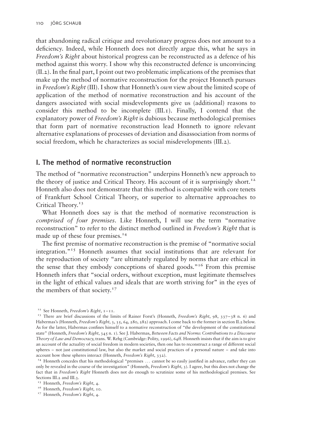that abandoning radical critique and revolutionary progress does not amount to a deficiency. Indeed, while Honneth does not directly argue this, what he says in Freedom's Right about historical progress can be reconstructed as a defence of his method against this worry. I show why this reconstructed defence is unconvincing (II.2). In the final part, I point out two problematic implications of the premises that make up the method of normative reconstruction for the project Honneth pursues in Freedom's Right (III). I show that Honneth's *own* view about the limited scope of application of the method of normative reconstruction and his account of the dangers associated with social misdevelopments give us (additional) reasons to consider this method to be incomplete  $(III, I)$ . Finally, I contend that the explanatory power of Freedom's Right is dubious because methodological premises that form part of normative reconstruction lead Honneth to ignore relevant alternative explanations of processes of deviation and disassociation from norms of social freedom, which he characterizes as social misdevelopments (III.2).

# I. The method of normative reconstruction

The method of "normative reconstruction" underpins Honneth's new approach to the theory of justice and Critical Theory. His account of it is surprisingly short.<sup>12</sup> Honneth also does not demonstrate that this method is compatible with core tenets of Frankfurt School Critical Theory, or superior to alternative approaches to Critical Theory.<sup>13</sup>

What Honneth does say is that the method of normative reconstruction is comprised of four premises. Like Honneth, I will use the term "normative reconstruction" to refer to the distinct method outlined in Freedom's Right that is made up of these four premises.<sup>14</sup>

The first premise of normative reconstruction is the premise of "normative social integration."<sup>15</sup> Honneth assumes that social institutions that are relevant for the reproduction of society "are ultimately regulated by norms that are ethical in the sense that they embody conceptions of shared goods."<sup>16</sup> From this premise Honneth infers that "social orders, without exception, must legitimate themselves in the light of ethical values and ideals that are worth striving for" in the eyes of the members of that society.<sup>17</sup>

<sup>&</sup>lt;sup>12</sup> See Honneth, Freedom's Right,  $1 - 11$ .

<sup>&</sup>lt;sup>13</sup> There are brief discussions of the limits of Rainer Forst's (Honneth, Freedom's Right, 98, 337–38 n. 6) and Habermas's (Honneth, Freedom's Right, 3, 35, 64, 280, 282) approach. I come back to the former in section II.2 below. As for the latter, Habermas confines himself to a normative reconstruction of "the development of the constitutional state" (Honneth, Freedom's Right, 345 n. 1). See [J. Habermas,](#page-22-0) Between Facts and Norms: Contributions to a Discourse Theory of Law and Democracy, trans. W. Rehg (Cambridge: Polity, 1996), 64ff. Honneth insists that if the aim is to give an account of the actuality of social freedom in modern societies, then one has to reconstruct a range of different social spheres – not just constitutional law, but also the market and social practices of a personal nature – and take into account how these spheres interact (Honneth, Freedom's Right, 332).

<sup>&</sup>lt;sup>14</sup> Honneth concedes that his methodological "premises ... cannot be so easily justified in advance, rather they can only be revealed in the course of the investigation" (Honneth, Freedom's Right, 3). I agree, but this does not change the fact that in Freedom's Right Honneth does not do enough to scrutinize some of his methodological premises. See Sections III.2 and III.3.

<sup>&</sup>lt;sup>15</sup> Honneth, Freedom's Right, 4.

<sup>&</sup>lt;sup>16</sup> Honneth, Freedom's Right, 10.

<sup>&</sup>lt;sup>17</sup> Honneth, Freedom's Right, 4.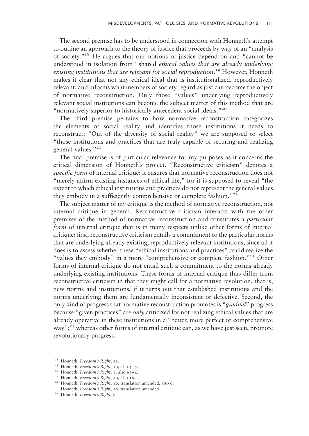The second premise has to be understood in connection with Honneth's attempt to outline an approach to the theory of justice that proceeds by way of an "analysis of society."18 He argues that our notions of justice depend on and "cannot be understood in isolation from" shared ethical values that are already underlying existing institutions that are relevant for social reproduction.<sup>19</sup> However, Honneth makes it clear that not any ethical ideal that is institutionalized, reproductively relevant, and informs what members of society regard as just can become the object of normative reconstruction. Only those "values" underlying reproductively relevant social institutions can become the subject matter of this method that are "normatively superior to historically antecedent social ideals."<sup>20</sup>

The third premise pertains to how normative reconstruction categorizes the elements of social reality and identifies those institutions it needs to reconstruct: "Out of the diversity of social reality" we are supposed to select "those institutions and practices that are truly capable of securing and realizing general values."<sup>21</sup>

The final premise is of particular relevance for my purposes as it concerns the critical dimension of Honneth's project. "Reconstructive criticism" denotes a specific form of internal critique: it ensures that normative reconstruction does not "merely affirm existing instances of ethical life," for it is supposed to reveal "the extent to which ethical institutions and practices do not represent the general values they embody in a sufficiently comprehensive or complete fashion."<sup>22</sup>

The subject matter of my critique is the method of normative reconstruction, not internal critique in general. Reconstructive criticism interacts with the other premises of the method of normative reconstruction and constitutes a particular form of internal critique that is in many respects unlike other forms of internal critique: first, reconstructive criticism entails a commitment to the particular norms that are underlying already existing, reproductively relevant institutions, since all it does is to assess whether these "ethical institutions and practices" could realize the "values they embody" in a more "comprehensive or complete fashion."<sup>23</sup> Other forms of internal critique do not entail such a commitment to the norms already underlying existing institutions. These forms of internal critique thus differ from reconstructive criticism in that they might call for a normative revolution, that is, new norms and institutions, if it turns out that established institutions and the norms underlying them are fundamentally inconsistent or defective. Second, the only kind of progress that normative reconstruction promotes is "gradual" progress because "given practices" are only criticized for not realizing ethical values that are already operative in these institutions in a "better, more perfect or comprehensive way";<sup>24</sup> whereas other forms of internal critique can, as we have just seen, promote revolutionary progress.

<sup>&</sup>lt;sup>18</sup> Honneth, Freedom's Right, 11.

<sup>&</sup>lt;sup>19</sup> Honneth, *Freedom's Right*, 10, also  $4-5$ .

<sup>&</sup>lt;sup>20</sup> Honneth, Freedom's Right, 5, also  $63-4$ .

<sup>&</sup>lt;sup>21</sup> Honneth, Freedom's Right, 10, also 16.

<sup>&</sup>lt;sup>22</sup> Honneth, Freedom's Right, 10, translation amended; also 9.

<sup>&</sup>lt;sup>23</sup> Honneth, Freedom's Right, 10, translation amended.

<sup>&</sup>lt;sup>24</sup> Honneth, Freedom's Right, 9.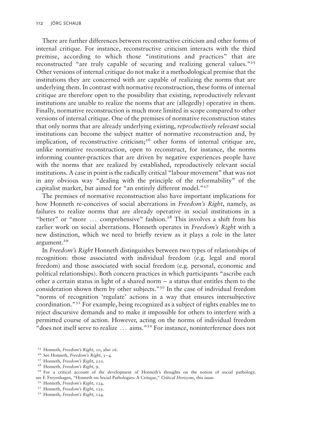There are further differences between reconstructive criticism and other forms of internal critique. For instance, reconstructive criticism interacts with the third premise, according to which those "institutions and practices" that are reconstructed "are truly capable of securing and realizing general values."<sup>25</sup> Other versions of internal critique do not make it a methodological premise that the institutions they are concerned with are capable of realizing the norms that are underlying them. In contrast with normative reconstruction, these forms of internal critique are therefore open to the possibility that existing, reproductively relevant institutions are unable to realize the norms that are (allegedly) operative in them. Finally, normative reconstruction is much more limited in scope compared to other versions of internal critique. One of the premises of normative reconstruction states that only norms that are already underlying existing, reproductively relevant social institutions can become the subject matter of normative reconstruction and, by implication, of reconstructive criticism;<sup>26</sup> other forms of internal critique are, unlike normative reconstruction, open to reconstruct, for instance, the norms informing counter-practices that are driven by negative experiences people have with the norms that are realized by established, reproductively relevant social institutions. A case in point is the radically critical "labour movement" that was not in any obvious way "dealing with the principle of the reformability" of the capitalist market, but aimed for "an entirely different model."<sup>27</sup>

The premises of normative reconstruction also have important implications for how Honneth re-conceives of social aberrations in Freedom's Right, namely, as failures to realize norms that are already operative in social institutions in a "better" or "more  $\dots$  comprehensive" fashion.<sup>28</sup> This involves a shift from his earlier work on social aberrations. Honneth operates in *Freedom's Right* with a new distinction, which we need to briefly review as it plays a role in the later argument.<sup>29</sup>

In Freedom's Right Honneth distinguishes between two types of relationships of recognition: those associated with individual freedom (e.g. legal and moral freedom) and those associated with social freedom (e.g. personal, economic and political relationships). Both concern practices in which participants "ascribe each other a certain status in light of a shared norm – a status that entitles them to the consideration shown them by other subjects."30 In the case of individual freedom "norms of recognition 'regulate' actions in a way that ensures intersubjective coordination." $3<sup>T</sup>$  For example, being recognized as a subject of rights enables me to reject discursive demands and to make it impossible for others to interfere with a permitted course of action. However, acting on the norms of individual freedom "does not itself serve to realize ... aims."32 For instance, noninterference does not

<sup>30</sup> Honneth, Freedom's Right, 124.

<sup>&</sup>lt;sup>25</sup> Honneth, Freedom's Right, 10, also 16.

<sup>&</sup>lt;sup>26</sup> See Honneth, Freedom's Right, 3-4.

<sup>&</sup>lt;sup>27</sup> Honneth, Freedom's Right, 210.

<sup>&</sup>lt;sup>28</sup> Honneth, Freedom's Right, 9.

<sup>&</sup>lt;sup>29</sup> For a critical account of the development of Honneth's thoughts on the notion of social pathology, see [F. Freyenhagen,](#page-22-0) "Honneth on Social Pathologies: A Critique," Critical Horizons, this issue.

<sup>&</sup>lt;sup>31</sup> Honneth, Freedom's Right, 125.

<sup>&</sup>lt;sup>32</sup> Honneth, Freedom's Right, 124.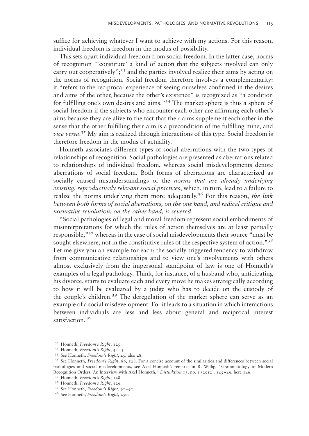suffice for achieving whatever I want to achieve with my actions. For this reason, individual freedom is freedom in the modus of possibility.

This sets apart individual freedom from social freedom. In the latter case, norms of recognition "'constitute' a kind of action that the subjects involved can only carry out cooperatively";<sup>33</sup> and the parties involved realize their aims by acting on the norms of recognition. Social freedom therefore involves a complementarity: it "refers to the reciprocal experience of seeing ourselves confirmed in the desires and aims of the other, because the other's existence" is recognized as "a condition for fulfilling one's own desires and aims."34 The market sphere is thus a sphere of social freedom if the subjects who encounter each other are affirming each other's aims because they are alive to the fact that their aims supplement each other in the sense that the other fulfilling their aim is a precondition of me fulfilling mine, and vice versa.<sup>35</sup> My aim is realized through interactions of this type. Social freedom is therefore freedom in the modus of actuality.

Honneth associates different types of social aberrations with the two types of relationships of recognition. Social pathologies are presented as aberrations related to relationships of individual freedom, whereas social misdevelopments denote aberrations of social freedom. Both forms of aberrations are characterized as socially caused misunderstandings of the norms that are already underlying existing, reproductively relevant social practices, which, in turn, lead to a failure to realize the norms underlying them more adequately.<sup>36</sup> For this reason, the link between both forms of social aberrations, on the one hand, and radical critique and normative revolution, on the other hand, is severed.

"Social pathologies of legal and moral freedom represent social embodiments of misinterpretations for which the rules of action themselves are at least partially responsible,"<sup>37</sup> whereas in the case of social misdevelopments their source "must be sought elsewhere, not in the constitutive rules of the respective system of action."<sup>38</sup> Let me give you an example for each: the socially triggered tendency to withdraw from communicative relationships and to view one's involvements with others almost exclusively from the impersonal standpoint of law is one of Honneth's examples of a legal pathology. Think, for instance, of a husband who, anticipating his divorce, starts to evaluate each and every move he makes strategically according to how it will be evaluated by a judge who has to decide on the custody of the couple's children.<sup>39</sup> The deregulation of the market sphere can serve as an example of a social misdevelopment. For it leads to a situation in which interactions between individuals are less and less about general and reciprocal interest satisfaction.<sup>40</sup>

<sup>33</sup> Honneth, Freedom's Right, 125.

<sup>&</sup>lt;sup>34</sup> Honneth, Freedom's Right, 44-5.

<sup>&</sup>lt;sup>35</sup> See Honneth, Freedom's Right, 45, also 48.

<sup>&</sup>lt;sup>36</sup> See Honneth, Freedom's Right, 86, 128. For a concise account of the similarities and differences between social pathologies and social misdevelopments, see Axel Honneth's remarks in [R. Willig,](#page-23-0) "Grammatology of Modern Recognition Orders: An Interview with Axel Honneth," Distinktion 13, no. 1 (2012): 145–49, here 146. <sup>37</sup> Honneth, Freedom's Right, 128.

<sup>38</sup> Honneth, Freedom's Right, 129.

<sup>39</sup> See Honneth, Freedom's Right, 90–91.

<sup>40</sup> See Honneth, Freedom's Right, 250.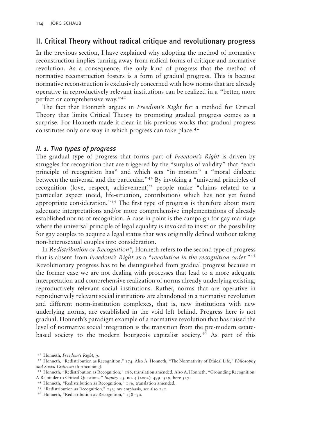# II. Critical Theory without radical critique and revolutionary progress

In the previous section, I have explained why adopting the method of normative reconstruction implies turning away from radical forms of critique and normative revolution. As a consequence, the only kind of progress that the method of normative reconstruction fosters is a form of gradual progress. This is because normative reconstruction is exclusively concerned with how norms that are already operative in reproductively relevant institutions can be realized in a "better, more perfect or comprehensive way."41

The fact that Honneth argues in Freedom's Right for a method for Critical Theory that limits Critical Theory to promoting gradual progress comes as a surprise. For Honneth made it clear in his previous works that gradual progress constitutes only one way in which progress can take place.<sup>42</sup>

## II. 1. Two types of progress

The gradual type of progress that forms part of Freedom's Right is driven by struggles for recognition that are triggered by the "surplus of validity" that "each principle of recognition has" and which sets "in motion" a "moral dialectic between the universal and the particular."<sup>43</sup> By invoking a "universal principles of recognition (love, respect, achievement)" people make "claims related to a particular aspect (need, life-situation, contribution) which has not yet found appropriate consideration."<sup>44</sup> The first type of progress is therefore about more adequate interpretations and/or more comprehensive implementations of already established norms of recognition. A case in point is the campaign for gay marriage where the universal principle of legal equality is invoked to insist on the possibility for gay couples to acquire a legal status that was originally defined without taking non-heterosexual couples into consideration.

In Redistribution or Recognition?, Honneth refers to the second type of progress that is absent from Freedom's Right as a "revolution in the recognition order."<sup>45</sup> Revolutionary progress has to be distinguished from gradual progress because in the former case we are not dealing with processes that lead to a more adequate interpretation and comprehensive realization of norms already underlying existing, reproductively relevant social institutions. Rather, norms that are operative in reproductively relevant social institutions are abandoned in a normative revolution and different norm-institution complexes, that is, new institutions with new underlying norms, are established in the void left behind. Progress here is not gradual. Honneth's paradigm example of a normative revolution that has raised the level of normative social integration is the transition from the pre-modern estatebased society to the modern bourgeois capitalist society.<sup>46</sup> As part of this

<sup>41</sup> Honneth, Freedom's Right, 9.

<sup>42</sup> Honneth, "Redistribution as Recognition," 174. Also [A. Honneth,](#page-22-0) "The Normativity of Ethical Life," Philosophy and Social Criticism (forthcoming).

<sup>43</sup> [Honneth](#page-22-0), "Redistribution as Recognition," 186; translation amended. Also A. Honneth, "Grounding Recognition: A Rejoinder to Critical Questions," Inquiry 45, no. 4 (2002): 499 –519, here 517.

<sup>44</sup> Honneth, "Redistribution as Recognition," 186; translation amended.

<sup>45</sup> "Redistribution as Recognition," 143; my emphasis, see also 140.

<sup>46</sup> Honneth, "Redistribution as Recognition," 138–50.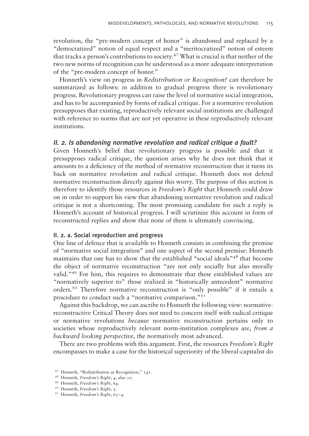revolution, the "pre-modern concept of honor" is abandoned and replaced by a "democratized" notion of equal respect and a "meritocratized" notion of esteem that tracks a person's contributions to society.<sup>47</sup> What is crucial is that neither of the two new norms of recognition can be understood as a more adequate interpretation of the "pre-modern concept of honor."

Honneth's view on progress in Redistribution or Recognition? can therefore be summarized as follows: in addition to gradual progress there is revolutionary progress. Revolutionary progress can raise the level of normative social integration, and has to be accompanied by forms of radical critique. For a normative revolution presupposes that existing, reproductively relevant social institutions are challenged with reference to norms that are not yet operative in these reproductively relevant institutions.

## II. 2. Is abandoning normative revolution and radical critique a fault?

Given Honneth's belief that revolutionary progress is possible and that it presupposes radical critique, the question arises why he does not think that it amounts to a deficiency of the method of normative reconstruction that it turns its back on normative revolution and radical critique. Honneth does not defend normative reconstruction directly against this worry. The purpose of this section is therefore to identify those resources in Freedom's Right that Honneth could draw on in order to support his view that abandoning normative revolution and radical critique is not a shortcoming. The most promising candidate for such a reply is Honneth's account of historical progress. I will scrutinize this account in form of reconstructed replies and show that none of them is ultimately convincing.

### II. 2. a. Social reproduction and progress

One line of defence that is available to Honneth consists in combining the premise of "normative social integration" and one aspect of the second premise: Honneth maintains that one has to show that the established "social ideals"<sup>48</sup> that become the object of normative reconstruction "are not only socially but also morally valid."49 For him, this requires to demonstrate that these established values are "normatively superior to" those realized in "historically antecedent" normative orders.<sup>50</sup> Therefore normative reconstruction is "only possible" if it entails a procedure to conduct such a "normative comparison."<sup>51</sup>

Against this backdrop, we can ascribe to Honneth the following view: normativereconstructive Critical Theory does not need to concern itself with radical critique or normative revolutions because normative reconstruction pertains only to societies whose reproductively relevant norm-institution complexes are, from a backward looking perspective, the normatively most advanced.

There are two problems with this argument. First, the resources Freedom's Right encompasses to make a case for the historical superiority of the liberal-capitalist do

<sup>47</sup> Honneth, "Redistribution as Recognition," 141.

<sup>48</sup> Honneth, Freedom's Right, 4, also 10.

<sup>49</sup> Honneth, Freedom's Right, 64.

<sup>&</sup>lt;sup>50</sup> Honneth, Freedom's Right, 5.

 $5<sup>T</sup>$  Honneth, Freedom's Right, 63-4.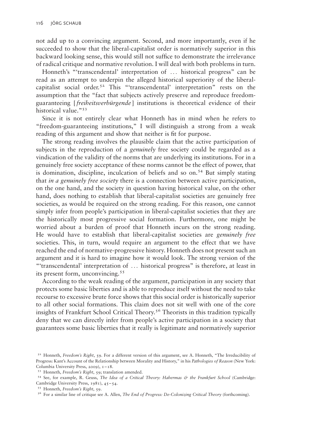not add up to a convincing argument. Second, and more importantly, even if he succeeded to show that the liberal-capitalist order is normatively superior in this backward looking sense, this would still not suffice to demonstrate the irrelevance of radical critique and normative revolution. I will deal with both problems in turn.

Honneth's "'transcendental' interpretation of ... historical progress" can be read as an attempt to underpin the alleged historical superiority of the liberalcapitalist social order.<sup>52</sup> This "'transcendental' interpretation" rests on the assumption that the "fact that subjects actively preserve and reproduce freedomguaranteeing [freiheitsverbürgende] institutions is theoretical evidence of their historical value."<sup>53</sup>

Since it is not entirely clear what Honneth has in mind when he refers to "freedom-guaranteeing institutions," I will distinguish a strong from a weak reading of this argument and show that neither is fit for purpose.

The strong reading involves the plausible claim that the active participation of subjects in the reproduction of a *genuinely* free society could be regarded as a vindication of the validity of the norms that are underlying its institutions. For in a genuinely free society acceptance of these norms cannot be the effect of power, that is domination, discipline, inculcation of beliefs and so on.<sup>54</sup> But simply stating that *in a genuinely free society* there is a connection between active participation, on the one hand, and the society in question having historical value, on the other hand, does nothing to establish that liberal-capitalist societies are genuinely free societies, as would be required on the strong reading. For this reason, one cannot simply infer from people's participation in liberal-capitalist societies that they are the historically most progressive social formation. Furthermore, one might be worried about a burden of proof that Honneth incurs on the strong reading. He would have to establish that liberal-capitalist societies are genuinely free societies. This, in turn, would require an argument to the effect that we have reached the end of normative-progressive history. Honneth does not present such an argument and it is hard to imagine how it would look. The strong version of the "'transcendental' interpretation of ... historical progress" is therefore, at least in its present form, unconvincing.<sup>55</sup>

According to the weak reading of the argument, participation in any society that protects some basic liberties and is able to reproduce itself without the need to take recourse to excessive brute force shows that this social order is historically superior to all other social formations. This claim does not sit well with one of the core insights of Frankfurt School Critical Theory.<sup>56</sup> Theorists in this tradition typically deny that we can directly infer from people's active participation in a society that guarantees some basic liberties that it really is legitimate and normatively superior

<sup>&</sup>lt;sup>52</sup> Honneth, *Freedom's Right*, 59. For a different version of this argument, see [A. Honneth](#page-22-0), "The Irreducibility of Progress: Kant's Account of the Relationship between Morality and History," in his Pathologies of Reason (New York: Columbia University Press, 2009),  $1 - 18$ .

<sup>53</sup> Honneth, Freedom's Right, 59; translation amended.

<sup>54</sup> See, for example, [R. Geuss](#page-22-0), The Idea of a Critical Theory: Habermas & the Frankfurt School (Cambridge: Cambridge University Press, 1981), 45–54.

<sup>55</sup> Honneth, Freedom's Right, 59.

 $56$  For a similar line of critique see [A. Allen,](#page-22-0) The End of Progress: De-Colonizing Critical Theory (forthcoming).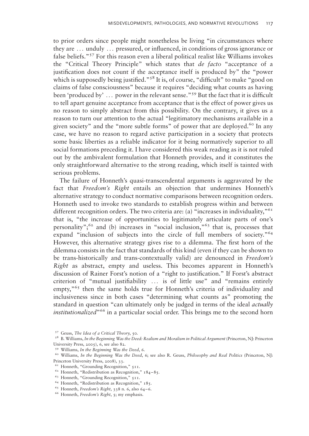to prior orders since people might nonetheless be living "in circumstances where they are ... unduly ... pressured, or influenced, in conditions of gross ignorance or false beliefs."<sup>57</sup> For this reason even a liberal political realist like Williams invokes the "Critical Theory Principle" which states that de facto "acceptance of a justification does not count if the acceptance itself is produced by" the "power which is supposedly being justified."<sup>58</sup> It is, of course, "difficult" to make "good on claims of false consciousness" because it requires "deciding what counts as having been 'produced by' ... power in the relevant sense."<sup>59</sup> But the fact that it is difficult to tell apart genuine acceptance from acceptance that is the effect of power gives us no reason to simply abstract from this possibility. On the contrary, it gives us a reason to turn our attention to the actual "legitimatory mechanisms available in a given society" and the "more subtle forms" of power that are deployed.<sup>60</sup> In any case, we have no reason to regard active participation in a society that protects some basic liberties as a reliable indicator for it being normatively superior to all social formations preceding it. I have considered this weak reading as it is not ruled out by the ambivalent formulation that Honneth provides, and it constitutes the only straightforward alternative to the strong reading, which itself is tainted with serious problems.

The failure of Honneth's quasi-transcendental arguments is aggravated by the fact that Freedom's Right entails an objection that undermines Honneth's alternative strategy to conduct normative comparisons between recognition orders. Honneth used to invoke two standards to establish progress within and between different recognition orders. The two criteria are: (a) "increases in individuality," $61$ that is, "the increase of opportunities to legitimately articulate parts of one's personality"; $62$  and (b) increases in "social inclusion," $63$  that is, processes that expand "inclusion of subjects into the circle of full members of society."<sup>64</sup> However, this alternative strategy gives rise to a dilemma. The first horn of the dilemma consists in the fact that standards of this kind (even if they can be shown to be trans-historically and trans-contextually valid) are denounced in Freedom's Right as abstract, empty and useless. This becomes apparent in Honneth's discussion of Rainer Forst's notion of a "right to justification." If Forst's abstract criterion of "mutual justifiability ... is of little use" and "remains entirely empty,<sup>"65</sup> then the same holds true for Honneth's criteria of individuality and inclusiveness since in both cases "determining what counts as" promoting the standard in question "can ultimately only be judged in terms of the ideal *actually institutionalized*<sup> $66$ </sup> in a particular social order. This brings me to the second horn

<sup>57</sup> Geuss, The Idea of a Critical Theory, 50.

<sup>58</sup> [B. Williams](#page-22-0), In the Beginning Was the Deed: Realism and Moralism in Political Argument (Princeton, NJ: Princeton University Press, 2005), 6, see also 82.

<sup>59</sup> Williams, In the Beginning Was the Deed, 6.

<sup>&</sup>lt;sup>60</sup> Williams, In the Beginning Was the Deed, 6; see also [R. Geuss,](#page-22-0) Philosophy and Real Politics (Princeton, NJ: Princeton University Press, 2008), 33.

 $61$  Honneth, "Grounding Recognition," 511.

<sup>62</sup> Honneth, "Redistribution as Recognition," 184–85.

<sup>63</sup> Honneth, "Grounding Recognition," 511.

<sup>64</sup> Honneth, "Redistribution as Recognition," 185.

 $65$  Honneth, Freedom's Right, 338 n. 6, also 64-6.

<sup>&</sup>lt;sup>66</sup> Honneth, *Freedom's Right*, 5; my emphasis.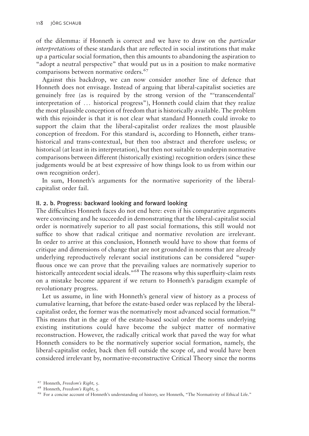of the dilemma: if Honneth is correct and we have to draw on the particular interpretations of these standards that are reflected in social institutions that make up a particular social formation, then this amounts to abandoning the aspiration to "adopt a neutral perspective" that would put us in a position to make normative comparisons between normative orders.<sup>67</sup>

Against this backdrop, we can now consider another line of defence that Honneth does not envisage. Instead of arguing that liberal-capitalist societies are genuinely free (as is required by the strong version of the "'transcendental' interpretation of ... historical progress"), Honneth could claim that they realize the most plausible conception of freedom that is historically available. The problem with this rejoinder is that it is not clear what standard Honneth could invoke to support the claim that the liberal-capitalist order realizes the most plausible conception of freedom. For this standard is, according to Honneth, either transhistorical and trans-contextual, but then too abstract and therefore useless; or historical (at least in its interpretation), but then not suitable to underpin normative comparisons between different (historically existing) recognition orders (since these judgements would be at best expressive of how things look to us from within our own recognition order).

In sum, Honneth's arguments for the normative superiority of the liberalcapitalist order fail.

## II. 2. b. Progress: backward looking and forward looking

The difficulties Honneth faces do not end here: even if his comparative arguments were convincing and he succeeded in demonstrating that the liberal-capitalist social order is normatively superior to all past social formations, this still would not suffice to show that radical critique and normative revolution are irrelevant. In order to arrive at this conclusion, Honneth would have to show that forms of critique and dimensions of change that are not grounded in norms that are already underlying reproductively relevant social institutions can be considered "superfluous once we can prove that the prevailing values are normatively superior to historically antecedent social ideals."<sup>68</sup> The reasons why this superfluity-claim rests on a mistake become apparent if we return to Honneth's paradigm example of revolutionary progress.

Let us assume, in line with Honneth's general view of history as a process of cumulative learning, that before the estate-based order was replaced by the liberalcapitalist order, the former was the normatively most advanced social formation.<sup>69</sup> This means that in the age of the estate-based social order the norms underlying existing institutions could have become the subject matter of normative reconstruction. However, the radically critical work that paved the way for what Honneth considers to be the normatively superior social formation, namely, the liberal-capitalist order, back then fell outside the scope of, and would have been considered irrelevant by, normative-reconstructive Critical Theory since the norms

<sup>67</sup> Honneth, Freedom's Right, 5.

<sup>68</sup> Honneth, Freedom's Right, 5.

<sup>69</sup> For a concise account of Honneth's understanding of history, see Honneth, "The Normativity of Ethical Life."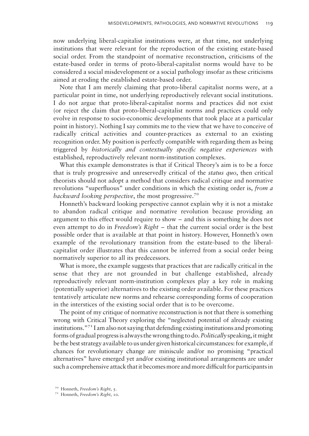now underlying liberal-capitalist institutions were, at that time, not underlying institutions that were relevant for the reproduction of the existing estate-based social order. From the standpoint of normative reconstruction, criticisms of the estate-based order in terms of proto-liberal-capitalist norms would have to be considered a social misdevelopment or a social pathology insofar as these criticisms aimed at eroding the established estate-based order.

Note that I am merely claiming that proto-liberal capitalist norms were, at a particular point in time, not underlying reproductively relevant social institutions. I do not argue that proto-liberal-capitalist norms and practices did not exist (or reject the claim that proto-liberal-capitalist norms and practices could only evolve in response to socio-economic developments that took place at a particular point in history). Nothing I say commits me to the view that we have to conceive of radically critical activities and counter-practices as external to an existing recognition order. My position is perfectly compatible with regarding them as being triggered by historically and contextually specific negative experiences with established, reproductively relevant norm-institution complexes.

What this example demonstrates is that if Critical Theory's aim is to be a force that is truly progressive and unreservedly critical of the status quo, then critical theorists should not adopt a method that considers radical critique and normative revolutions "superfluous" under conditions in which the existing order is, from a backward looking perspective, the most progressive.<sup>70</sup>

Honneth's backward looking perspective cannot explain why it is not a mistake to abandon radical critique and normative revolution because providing an argument to this effect would require to show – and this is something he does not even attempt to do in *Freedom's Right* – that the current social order is the best possible order that is available at that point in history. However, Honneth's own example of the revolutionary transition from the estate-based to the liberalcapitalist order illustrates that this cannot be inferred from a social order being normatively superior to all its predecessors.

What is more, the example suggests that practices that are radically critical in the sense that they are not grounded in but challenge established, already reproductively relevant norm-institution complexes play a key role in making (potentially superior) alternatives to the existing order available. For these practices tentatively articulate new norms and rehearse corresponding forms of cooperation in the interstices of the existing social order that is to be overcome.

The point of my critique of normative reconstruction is not that there is something wrong with Critical Theory exploring the "neglected potential of already existing institutions."71 I am also not saying that defending existing institutions and promoting forms of gradual progress is always the wrong thing to do. Politically speaking, it might be the best strategy available to us under given historical circumstances: for example, if chances for revolutionary change are miniscule and/or no promising "practical alternatives" have emerged yet and/or existing institutional arrangements are under such a comprehensive attack thatit becomes more and more difficult for participantsin

<sup>70</sup> Honneth, Freedom's Right, 5.

<sup>71</sup> Honneth, Freedom's Right, 10.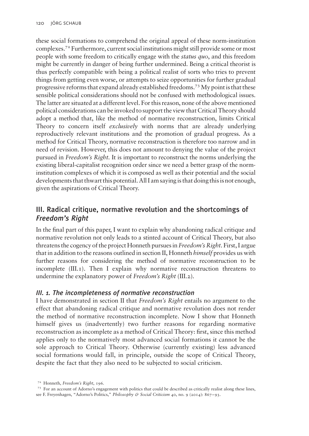these social formations to comprehend the original appeal of these norm-institution complexes.72 Furthermore, current social institutions might still provide some or most people with some freedom to critically engage with the status quo, and this freedom might be currently in danger of being further undermined. Being a critical theorist is thus perfectly compatible with being a political realist of sorts who tries to prevent things from getting even worse, or attempts to seize opportunities for further gradual progressive reforms that expand already established freedoms.73My point is that these sensible political considerations should not be confused with methodological issues. The latter are situated at a different level. For this reason, none of the above mentioned political considerations can be invoked to support the view that Critical Theory should adopt a method that, like the method of normative reconstruction, limits Critical Theory to concern itself exclusively with norms that are already underlying reproductively relevant institutions and the promotion of gradual progress. As a method for Critical Theory, normative reconstruction is therefore too narrow and in need of revision. However, this does not amount to denying the value of the project pursued in Freedom's Right. It is important to reconstruct the norms underlying the existing liberal-capitalist recognition order since we need a better grasp of the norminstitution complexes of which it is composed as well as their potential and the social developments that thwart this potential. All I am saying is that doing thisis not enough, given the aspirations of Critical Theory.

# III. Radical critique, normative revolution and the shortcomings of Freedom's Right

In the final part of this paper, I want to explain why abandoning radical critique and normative revolution not only leads to a stinted account of Critical Theory, but also threatens the cogency of the project Honneth pursues in Freedom's Right. First, I argue that in addition to the reasons outlined in section II, Honneth *himself* provides us with further reasons for considering the method of normative reconstruction to be incomplete (III.1). Then I explain why normative reconstruction threatens to undermine the explanatory power of Freedom's Right (III.2).

# III. 1. The incompleteness of normative reconstruction

I have demonstrated in section II that Freedom's Right entails no argument to the effect that abandoning radical critique and normative revolution does not render the method of normative reconstruction incomplete. Now I show that Honneth himself gives us (inadvertently) two further reasons for regarding normative reconstruction as incomplete as a method of Critical Theory: first, since this method applies only to the normatively most advanced social formations it cannot be the sole approach to Critical Theory. Otherwise (currently existing) less advanced social formations would fall, in principle, outside the scope of Critical Theory, despite the fact that they also need to be subjected to social criticism.

<sup>72</sup> Honneth, Freedom's Right, 196.

<sup>73</sup> For an account of Adorno's engagement with politics that could be described as critically realist along these lines,

see [F. Freyenhagen,](#page-22-0) "Adorno's Politics," *Philosophy & Social Criticism 40, no.* 9 (2014): 867–93.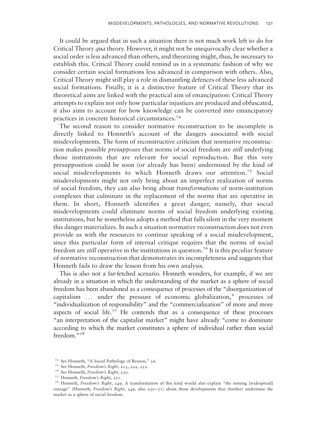It could be argued that in such a situation there is not much work left to do for Critical Theory *qua* theory. However, it might not be unequivocally clear whether a social order is less advanced than others, and theorizing might, thus, be necessary to establish this. Critical Theory could remind us in a systematic fashion of why we consider certain social formations less advanced in comparison with others. Also, Critical Theory might still play a role in dismantling defences of these less advanced social formations. Finally, it is a distinctive feature of Critical Theory that its theoretical aims are linked with the practical aim of emancipation: Critical Theory attempts to explain not only how particular injustices are produced and obfuscated, it also aims to account for how knowledge can be converted into emancipatory practices in concrete historical circumstances.74

The second reason to consider normative reconstruction to be incomplete is directly linked to Honneth's account of the dangers associated with social misdevelopments. The form of reconstructive criticism that normative reconstruction makes possible presupposes that norms of social freedom are still underlying those institutions that are relevant for social reproduction. But this very presupposition could be soon (or already has been) undermined by the kind of social misdevelopments to which Honneth draws our attention.<sup>75</sup> Social misdevelopments might not only bring about an imperfect realization of norms of social freedom, they can also bring about transformations of norm-institution complexes that culminate in the replacement of the norms that are operative in them. In short, Honneth identifies a great danger, namely, that social misdevelopments could eliminate norms of social freedom underlying existing institutions, but he nonetheless adopts a method that falls silent in the very moment this danger materializes. In such a situation normative reconstruction does not even provide us with the resources to continue speaking of a social misdevelopment, since this particular form of internal critique requires that the norms of social freedom are *still* operative in the institutions in question.<sup>76</sup> It is this peculiar feature of normative reconstruction that demonstrates its incompleteness and suggests that Honneth fails to draw the lesson from his own analysis.

This is also not a far-fetched scenario. Honneth wonders, for example, if we are already in a situation in which the understanding of the market as a sphere of social freedom has been abandoned as a consequence of processes of the "disorganization of capitalism ... under the pressure of economic globalization," processes of "individualization of responsibility" and the "commercialization" of more and more aspects of social life.77 He contends that as a consequence of these processes "an interpretation of the capitalist market" might have already "come to dominate according to which the market constitutes a sphere of individual rather than social freedom."78

<sup>74</sup> See Honneth, "A Social Pathology of Reason," 36.

<sup>75</sup> See Honneth, Freedom's Right, 213, 222, 252.

<sup>76</sup> See Honneth, Freedom's Right, 250.

<sup>77</sup> Honneth, Freedom's Right, 251.

<sup>78</sup> Honneth, Freedom's Right, 249. A transformation of this kind would also explain "the missing [widespread] outrage" (Honneth, Freedom's Right, 249, also 250–51) about those developments that (further) undermine the market as a sphere of social freedom.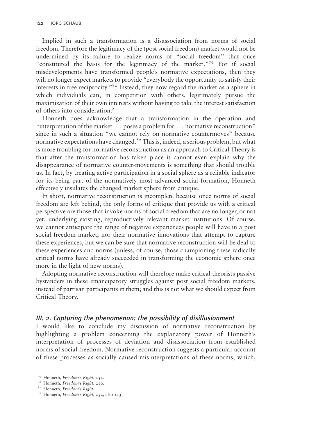Implied in such a transformation is a disassociation from norms of social freedom. Therefore the legitimacy of the (post social freedom) market would not be undermined by its failure to realize norms of "social freedom" that once "constituted the basis for the legitimacy of the market."<sup>79</sup> For if social misdevelopments have transformed people's normative expectations, then they will no longer expect markets to provide "everybody the opportunity to satisfy their interests in free reciprocity."80 Instead, they now regard the market as a sphere in which individuals can, in competition with others, legitimately pursue the maximization of their own interests without having to take the interest satisfaction of others into consideration.<sup>81</sup>

Honneth does acknowledge that a transformation in the operation and "interpretation of the market ... poses a problem for ... normative reconstruction" since in such a situation "we cannot rely on normative countermoves" because normative expectations have changed.<sup>82</sup> This is, indeed, a serious problem, but what is more troubling for normative reconstruction as an approach to Critical Theory is that after the transformation has taken place it cannot even explain why the disappearance of normative counter-movements is something that should trouble us. In fact, by treating active participation in a social sphere as a reliable indicator for its being part of the normatively most advanced social formation, Honneth effectively insulates the changed market sphere from critique.

In short, normative reconstruction is incomplete because once norms of social freedom are left behind, the only forms of critique that provide us with a critical perspective are those that invoke norms of social freedom that are no longer, or not yet, underlying existing, reproductively relevant market institutions. Of course, we cannot anticipate the range of negative experiences people will have in a post social freedom market, nor their normative innovations that attempt to capture these experiences, but we can be sure that normative reconstruction will be deaf to these experiences and norms (unless, of course, those championing these radically critical norms have already succeeded in transforming the economic sphere once more in the light of new norms).

Adopting normative reconstruction will therefore make critical theorists passive bystanders in these emancipatory struggles against post social freedom markets, instead of partisan participants in them; and this is not what we should expect from Critical Theory.

### III. 2. Capturing the phenomenon: the possibility of disillusionment

I would like to conclude my discussion of normative reconstruction by highlighting a problem concerning the explanatory power of Honneth's interpretation of processes of deviation and disassociation from established norms of social freedom. Normative reconstruction suggests a particular account of these processes as socially caused misinterpretations of these norms, which,

<sup>79</sup> Honneth, Freedom's Right, 252.

<sup>80</sup> Honneth, Freedom's Right, 250.

<sup>&</sup>lt;sup>81</sup> Honneth, Freedom's Right.

<sup>82</sup> Honneth, Freedom's Right, 252, also 213.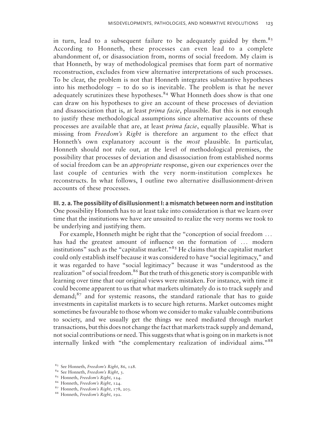in turn, lead to a subsequent failure to be adequately guided by them.<sup>83</sup> According to Honneth, these processes can even lead to a complete abandonment of, or disassociation from, norms of social freedom. My claim is that Honneth, by way of methodological premises that form part of normative reconstruction, excludes from view alternative interpretations of such processes. To be clear, the problem is not that Honneth integrates substantive hypotheses into his methodology – to do so is inevitable. The problem is that he never adequately scrutinizes these hypotheses.<sup>84</sup> What Honneth does show is that one can draw on his hypotheses to give an account of these processes of deviation and disassociation that is, at least *prima facie*, plausible. But this is not enough to justify these methodological assumptions since alternative accounts of these processes are available that are, at least *prima facie*, equally plausible. What is missing from Freedom's Right is therefore an argument to the effect that Honneth's own explanatory account is the *most* plausible. In particular, Honneth should not rule out, at the level of methodological premises, the possibility that processes of deviation and disassociation from established norms of social freedom can be an appropriate response, given our experiences over the last couple of centuries with the very norm-institution complexes he reconstructs. In what follows, I outline two alternative disillusionment-driven accounts of these processes.

III. 2. a. The possibility of disillusionment I: a mismatch between norm and institution One possibility Honneth has to at least take into consideration is that we learn over time that the institutions we have are unsuited to realize the very norms we took to be underlying and justifying them.

For example, Honneth might be right that the "conception of social freedom ... has had the greatest amount of influence on the formation of ... modern institutions" such as the "capitalist market."<sup>85</sup> He claims that the capitalist market could only establish itself because it was considered to have "social legitimacy," and it was regarded to have "social legitimacy" because it was "understood as the realization" of social freedom.<sup>86</sup> But the truth of this genetic story is compatible with learning over time that our original views were mistaken. For instance, with time it could become apparent to us that what markets ultimately do is to track supply and demand;87 and for systemic reasons, the standard rationale that has to guide investments in capitalist markets is to secure high returns. Market outcomes might sometimes be favourable to those whom we consider to make valuable contributions to society, and we usually get the things we need mediated through market transactions, but this does not change the fact that markets track supply and demand, not social contributions or need. This suggests that what is going on in markets is not internally linked with "the complementary realization of individual aims."<sup>88</sup>

<sup>83</sup> See Honneth, Freedom's Right, 86, 128.

<sup>84</sup> See Honneth, Freedom's Right, 3.

<sup>85</sup> Honneth, Freedom's Right, 124.

<sup>86</sup> Honneth, Freedom's Right, 124.

<sup>87</sup> Honneth, Freedom's Right, 178, 203.

<sup>88</sup> Honneth, Freedom's Right, 192.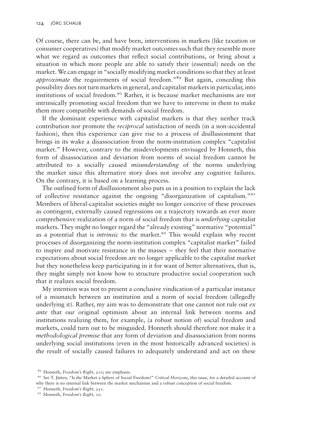Of course, there can be, and have been, interventions in markets (like taxation or consumer cooperatives) that modify market outcomes such that they resemble more what we regard as outcomes that reflect social contributions, or bring about a situation in which more people are able to satisfy their (essential) needs on the market. We can engage in "socially modifying market conditions so that they at least approximate the requirements of social freedom."<sup>89</sup> But again, conceding this possibility does not turn markets in general, and capitalist markets in particular, into institutions of social freedom.<sup>90</sup> Rather, it is because market mechanisms are not intrinsically promoting social freedom that we have to intervene in them to make them more compatible with demands of social freedom.

If the dominant experience with capitalist markets is that they neither track contribution nor promote the *reciprocal* satisfaction of needs (in a non-accidental fashion), then this experience can give rise to a process of disillusionment that brings in its wake a disassociation from the norm-institution complex "capitalist market." However, contrary to the misdevelopments envisaged by Honneth, this form of disassociation and deviation from norms of social freedom cannot be attributed to a socially caused misunderstanding of the norms underlying the market since this alternative story does not involve any cognitive failures. On the contrary, it is based on a learning process.

The outlined form of disillusionment also puts us in a position to explain the lack of collective resistance against the ongoing "disorganization of capitalism."<sup>91</sup> Members of liberal-capitalist societies might no longer conceive of these processes as contingent, externally caused regressions on a trajectory towards an ever more comprehensive realization of a norm of social freedom that is *underlying* capitalist markets. They might no longer regard the "already existing" normative "potential" as a potential that is *intrinsic* to the market.<sup>92</sup> This would explain why recent processes of disorganizing the norm-institution complex "capitalist market" failed to inspire and motivate resistance in the masses – they feel that their normative expectations about social freedom are no longer applicable to the capitalist market but they nonetheless keep participating in it for want of better alternatives, that is, they might simply not know how to structure productive social cooperation such that it realizes social freedom.

My intention was not to present a conclusive vindication of a particular instance of a mismatch between an institution and a norm of social freedom (allegedly underlying it). Rather, my aim was to demonstrate that one cannot not rule out  $ex$ ante that our original optimism about an internal link between norms and institutions realizing them, for example, (a robust notion of) social freedom and markets, could turn out to be misguided. Honneth should therefore not make it a methodological premise that any form of deviation and disassociation from norms underlying social institutions (even in the most historically advanced societies) is the result of socially caused failures to adequately understand and act on these

<sup>89</sup> Honneth, Freedom's Right, 210; my emphasis.

<sup>90</sup> See T. Jütten, "Is the Market a Sphere of Social Freedom?" Critical Horizons, this issue, for a detailed account of why there is no internal link between the market mechanism and a robust conception of social freedom.

<sup>&</sup>lt;sup>91</sup> Honneth, Freedom's Right, 251.

<sup>92</sup> Honneth, Freedom's Right, 10.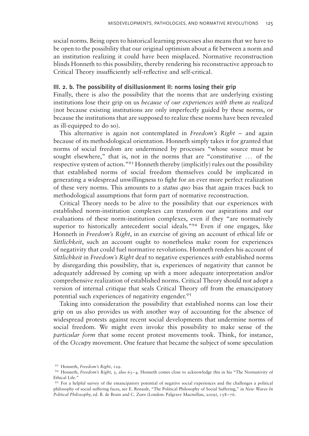social norms. Being open to historical learning processes also means that we have to be open to the possibility that our original optimism about a fit between a norm and an institution realizing it could have been misplaced. Normative reconstruction blinds Honneth to this possibility, thereby rendering his reconstructive approach to Critical Theory insufficiently self-reflective and self-critical.

### III. 2. b. The possibility of disillusionment II: norms losing their grip

Finally, there is also the possibility that the norms that are underlying existing institutions lose their grip on us because of our experiences with them as realized (not because existing institutions are only imperfectly guided by these norms, or because the institutions that are supposed to realize these norms have been revealed as ill-equipped to do so).

This alternative is again not contemplated in Freedom's Right – and again because of its methodological orientation. Honneth simply takes it for granted that norms of social freedom are undermined by processes "whose source must be sought elsewhere," that is, not in the norms that are "constitutive ... of the respective system of action."<sup>93</sup> Honneth thereby (implicitly) rules out the possibility that established norms of social freedom themselves could be implicated in generating a widespread unwillingness to fight for an ever more perfect realization of these very norms. This amounts to a *status quo* bias that again traces back to methodological assumptions that form part of normative reconstruction.

Critical Theory needs to be alive to the possibility that our experiences with established norm-institution complexes can transform our aspirations and our evaluations of these norm-institution complexes, even if they "are normatively superior to historically antecedent social ideals."<sup>94</sup> Even if one engages, like Honneth in Freedom's Right, in an exercise of giving an account of ethical life or Sittlichkeit, such an account ought to nonetheless make room for experiences of negativity that could fuel normative revolutions. Honneth renders his account of Sittlichkeit in Freedom's Right deaf to negative experiences with established norms by disregarding this possibility, that is, experiences of negativity that cannot be adequately addressed by coming up with a more adequate interpretation and/or comprehensive realization of established norms. Critical Theory should not adopt a version of internal critique that seals Critical Theory off from the emancipatory potential such experiences of negativity engender.<sup>95</sup>

Taking into consideration the possibility that established norms can lose their grip on us also provides us with another way of accounting for the absence of widespread protests against recent social developments that undermine norms of social freedom. We might even invoke this possibility to make sense of the particular form that some recent protest movements took. Think, for instance, of the Occupy movement. One feature that became the subject of some speculation

<sup>93</sup> Honneth, Freedom's Right, 129.

<sup>94</sup> Honneth, Freedom's Right, 5, also 63–4. Honneth comes close to acknowledge this in his "The Normativity of Ethical Life."

<sup>95</sup> For a helpful survey of the emancipatory potential of negative social experiences and the challenges a political philosophy of social suffering faces, see [E. Renault,](#page-22-0) "The Political Philosophy of Social Suffering," in New Waves In Political Philosophy, ed. B. de Bruin and C. Zurn (London: Palgrave Macmillan, 2009), 158 –76.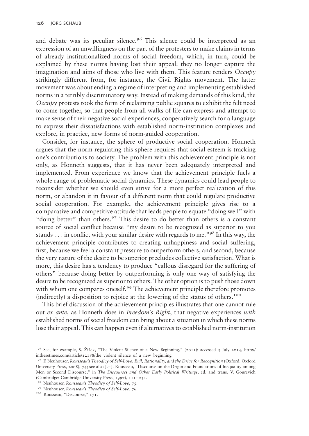and debate was its peculiar silence.<sup>96</sup> This silence could be interpreted as an expression of an unwillingness on the part of the protesters to make claims in terms of already institutionalized norms of social freedom, which, in turn, could be explained by these norms having lost their appeal: they no longer capture the imagination and aims of those who live with them. This feature renders Occupy strikingly different from, for instance, the Civil Rights movement. The latter movement was about ending a regime of interpreting and implementing established norms in a terribly discriminatory way. Instead of making demands of this kind, the Occupy protests took the form of reclaiming public squares to exhibit the felt need to come together, so that people from all walks of life can express and attempt to make sense of their negative social experiences, cooperatively search for a language to express their dissatisfactions with established norm-institution complexes and explore, in practice, new forms of norm-guided cooperation.

Consider, for instance, the sphere of productive social cooperation. Honneth argues that the norm regulating this sphere requires that social esteem is tracking one's contributions to society. The problem with this achievement principle is not only, as Honneth suggests, that it has never been adequately interpreted and implemented. From experience we know that the achievement principle fuels a whole range of problematic social dynamics. These dynamics could lead people to reconsider whether we should even strive for a more perfect realization of this norm, or abandon it in favour of a different norm that could regulate productive social cooperation. For example, the achievement principle gives rise to a comparative and competitive attitude that leads people to equate "doing well" with "doing better" than others.<sup>97</sup> This desire to do better than others is a constant source of social conflict because "my desire to be recognized as superior to you stands  $\ldots$  in conflict with your similar desire with regards to me."<sup>98</sup> In this way, the achievement principle contributes to creating unhappiness and social suffering, first, because we feel a constant pressure to outperform others, and second, because the very nature of the desire to be superior precludes collective satisfaction. What is more, this desire has a tendency to produce "callous disregard for the suffering of others" because doing better by outperforming is only one way of satisfying the desire to be recognized as superior to others. The other option is to push those down with whom one compares oneself.<sup>99</sup> The achievement principle therefore promotes (indirectly) a disposition to rejoice at the lowering of the status of others.<sup>100</sup>

This brief discussion of the achievement principles illustrates that one cannot rule out ex ante, as Honneth does in Freedom's Right, that negative experiences with established norms of social freedom can bring about a situation in which these norms lose their appeal. This can happen even if alternatives to established norm-institution

<sup>&</sup>lt;sup>96</sup> See, for example, S. Žižek, "The Violent Silence of a New Beginning," (2011): accessed 5 July 2014, [http://](http://inthesetimes.com/article/12188/the_violent_silence_of_a_new_beginning) [inthesetimes.com/article/12188/the\\_violent\\_silence\\_of\\_a\\_new\\_beginning](http://inthesetimes.com/article/12188/the_violent_silence_of_a_new_beginning)

<sup>97</sup> [F. Neuhouser,](#page-22-0) Rousseau's Theodicy of Self-Love: Evil, Rationality, and the Drive for Recognition (Oxford: Oxford University Press, 2008), 74; see also J.–J. Rousseau, "Discourse on the Origin and Foundations of Inequality among Men or Second Discourse," in The Discourses and Other Early Political Writings, ed. and trans. V. Gourevich (Cambridge: Cambridge University Press, 1997), 111 –231.

<sup>98</sup> Neuhouser, Rousseau's Theodicy of Self-Love, 75.

<sup>99</sup> Neuhouser, Rousseau's Theodicy of Self-Love, 76.

<sup>&</sup>lt;sup>100</sup> Rousseau, "Discourse," 171.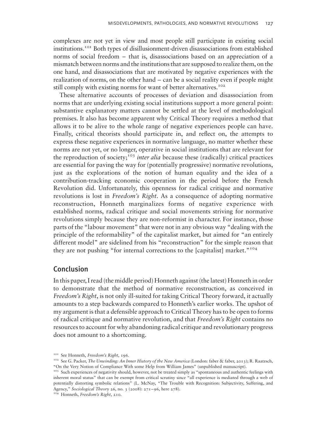complexes are not yet in view and most people still participate in existing social institutions.101 Both types of disillusionment-driven disassociations from established norms of social freedom – that is, disassociations based on an appreciation of a mismatch between norms and the institutions that are supposed to realize them, on the one hand, and disassociations that are motivated by negative experiences with the realization of norms, on the other hand – can be a social reality even if people might still comply with existing norms for want of better alternatives.<sup>102</sup>

These alternative accounts of processes of deviation and disassociation from norms that are underlying existing social institutions support a more general point: substantive explanatory matters cannot be settled at the level of methodological premises. It also has become apparent why Critical Theory requires a method that allows it to be alive to the whole range of negative experiences people can have. Finally, critical theorists should participate in, and reflect on, the attempts to express these negative experiences in normative language, no matter whether these norms are not yet, or no longer, operative in social institutions that are relevant for the reproduction of society;<sup>103</sup> inter alia because these (radically) critical practices are essential for paving the way for (potentially progressive) normative revolutions, just as the explorations of the notion of human equality and the idea of a contribution-tracking economic cooperation in the period before the French Revolution did. Unfortunately, this openness for radical critique and normative revolutions is lost in Freedom's Right. As a consequence of adopting normative reconstruction, Honneth marginalizes forms of negative experience with established norms, radical critique and social movements striving for normative revolutions simply because they are non-reformist in character. For instance, those parts of the "labour movement" that were not in any obvious way "dealing with the principle of the reformability" of the capitalist market, but aimed for "an entirely different model" are sidelined from his "reconstruction" for the simple reason that they are not pushing "for internal corrections to the [capitalist] market."<sup>104</sup>

## Conclusion

In this paper, I read (the middle period) Honneth against (the latest) Honneth in order to demonstrate that the method of normative reconstruction, as conceived in Freedom's Right, is not only ill-suited for taking Critical Theory forward, it actually amounts to a step backwards compared to Honneth's earlier works. The upshot of my argument is that a defensible approach to Critical Theory has to be open to forms of radical critique and normative revolution, and that Freedom's Right contains no resources to account for why abandoning radical critique and revolutionary progress does not amount to a shortcoming.

<sup>&</sup>lt;sup>101</sup> See Honneth, Freedom's Right, 196.

<sup>&</sup>lt;sup>102</sup> See [G. Packer,](#page-22-0) The Unwinding: An Inner History of the New America (London: faber & faber, 2013); [R. Raatzsch](#page-22-0), "On the Very Notion of Compliance With some Help from William James" (unpublished manuscript).

<sup>&</sup>lt;sup>103</sup> Such experiences of negativity should, however, not be treated simply as "spontaneous and authentic feelings with inherent moral status" that can be exempt from critical scrutiny since "all experience is mediated through a web of potentially distorting symbolic relations" [\(L. McNay,](#page-22-0) "The Trouble with Recognition: Subjectivity, Suffering, and Agency," Sociological Theory 26, no. 3 (2008): 271–96, here 278).

<sup>&</sup>lt;sup>104</sup> Honneth, Freedom's Right, 210.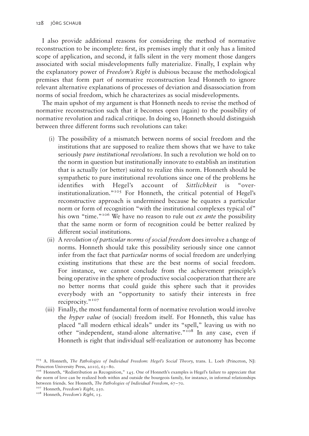I also provide additional reasons for considering the method of normative reconstruction to be incomplete: first, its premises imply that it only has a limited scope of application, and second, it falls silent in the very moment those dangers associated with social misdevelopments fully materialize. Finally, I explain why the explanatory power of Freedom's Right is dubious because the methodological premises that form part of normative reconstruction lead Honneth to ignore relevant alternative explanations of processes of deviation and disassociation from norms of social freedom, which he characterizes as social misdevelopments.

The main upshot of my argument is that Honneth needs to revise the method of normative reconstruction such that it becomes open (again) to the possibility of normative revolution and radical critique. In doing so, Honneth should distinguish between three different forms such revolutions can take:

- (i) The possibility of a mismatch between norms of social freedom and the institutions that are supposed to realize them shows that we have to take seriously *pure institutional revolutions*. In such a revolution we hold on to the norm in question but institutionally innovate to establish an institution that is actually (or better) suited to realize this norm. Honneth should be sympathetic to pure institutional revolutions since one of the problems he identifies with Hegel's account of Sittlichkeit is "overinstitutionalization."<sup>105</sup> For Honneth, the critical potential of Hegel's reconstructive approach is undermined because he equates a particular norm or form of recognition "with the institutional complexes typical of" his own "time."<sup>106</sup> We have no reason to rule out *ex ante* the possibility that the same norm or form of recognition could be better realized by different social institutions.
- (ii) A revolution of particular norms of social freedom does involve a change of norms. Honneth should take this possibility seriously since one cannot infer from the fact that particular norms of social freedom are underlying existing institutions that these are the best norms of social freedom. For instance, we cannot conclude from the achievement principle's being operative in the sphere of productive social cooperation that there are no better norms that could guide this sphere such that it provides everybody with an "opportunity to satisfy their interests in free reciprocity."<sup>107</sup>
- (iii) Finally, the most fundamental form of normative revolution would involve the hyper value of (social) freedom itself. For Honneth, this value has placed "all modern ethical ideals" under its "spell," leaving us with no other "independent, stand-alone alternative."<sup>108</sup> In any case, even if Honneth is right that individual self-realization or autonomy has become

<sup>&</sup>lt;sup>105</sup> [A. Honneth](#page-22-0), The Pathologies of Individual Freedom: Hegel's Social Theory, trans. L. Loeb (Princeton, NJ: Princeton University Press, 2010), 63–80.

<sup>106</sup> Honneth, "Redistribution as Recognition," 145. One of Honneth's examples is Hegel's failure to appreciate that the norm of love can be realized both within and outside the bourgeois family, for instance, in informal relationships between friends. See Honneth, The Pathologies of Individual Freedom, 67–70.

<sup>&</sup>lt;sup>107</sup> Honneth, Freedom's Right, 250.

<sup>&</sup>lt;sup>108</sup> Honneth, Freedom's Right, 15.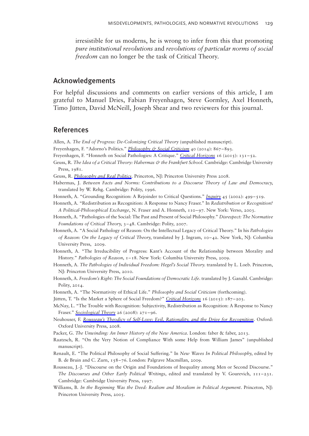<span id="page-22-0"></span>irresistible for us moderns, he is wrong to infer from this that promoting pure institutional revolutions and revolutions of particular norms of social freedom can no longer be the task of Critical Theory.

# Acknowledgements

For helpful discussions and comments on earlier versions of this article, I am grateful to Manuel Dries, Fabian Freyenhagen, Steve Gormley, Axel Honneth, Timo Jütten, David McNeill, Joseph Shear and two reviewers for this journal.

# References

Allen, A. The End of Progress: De-Colonizing Critical Theory (unpublished manuscript).

- Freyenhagen, F. "Adorno's Politics." [Philosophy & Social Criticism](http://www.maneyonline.com/action/showLinks?crossref=10.1177%2F0191453714545198) 40 (2014): 867-893.
- Freyenhagen, F. "Honneth on Social Pathologies: A Critique." [Critical Horizons](http://www.maneyonline.com/action/showLinks?system=10.1179%2F1440991715Z.00000000044) 16 (2015): 131 –52.
- Geuss, R. The Idea of a Critical Theory: Habermas & the Frankfurt School. Cambridge: Cambridge University Press, 1981.
- Geuss, R. [Philosophy and Real Politics](http://www.maneyonline.com/action/showLinks?crossref=10.1515%2F9781400835515). Princeton, NJ: Princeton University Press 2008.
- Habermas, J. Between Facts and Norms: Contributions to a Discourse Theory of Law and Democracy, translated by W. Rehg. Cambridge: Polity, 1996.
- Honneth, A. "Grounding Recognition: A Rejoinder to Critical Questions." [Inquiry](http://www.maneyonline.com/action/showLinks?crossref=10.1080%2F002017402320947577) 45 (2002): 499–519.
- Honneth, A. "Redistribution as Recognition: A Response to Nancy Fraser." In Redistribution or Recognition? A Political-Philosophical Exchange, N. Fraser and A. Honneth, 110 –97. New York: Verso, 2003.
- Honneth, A. "Pathologies of the Social: The Past and Present of Social Philosophy." Disrespect: The Normative Foundations of Critical Theory, 3 –48. Cambridge: Polity, 2007.
- Honneth, A. "A Social Pathology of Reason: On the Intellectual Legacy of Critical Theory." In his Pathologies of Reason: On the Legacy of Critical Theory, translated by J. Ingram, 10-42. New York, NJ: Columbia University Press, 2009.
- Honneth, A. "The Irreducibility of Progress: Kant's Account of the Relationship between Morality and History." Pathologies of Reason, 1-18. New York: Columbia University Press, 2009.
- Honneth, A. The Pathologies of Individual Freedom: Hegel's Social Theory. translated by L. Loeb. Princeton, NJ: Princeton University Press, 2010.
- Honneth, A. Freedom's Right: The Social Foundations of Democratic Life. translated by J. Ganahl. Cambridge: Polity, 2014.
- Honneth, A. "The Normativity of Ethical Life." Philosophy and Social Criticism (forthcoming).
- Jütten, T. "Is the Market a Sphere of Social Freedom?" [Critical Horizons](http://www.maneyonline.com/action/showLinks?system=10.1179%2F1440991715Z.00000000047) 16 (2015): 187-203.
- McNay, L. "The Trouble with Recognition: Subjectivity, Redistribution as Recognition: A Response to Nancy Fraser." [Sociological Theory](http://www.maneyonline.com/action/showLinks?crossref=10.1111%2Fj.1467-9558.2008.00329.x) 26 (2008): 271–96.
- Neuhouser, F. [Rousseau's Theodicy of Self-Love: Evil, Rationality, and the Drive for Recognition](http://www.maneyonline.com/action/showLinks?crossref=10.1093%2Facprof%3Aoso%2F9780199542673.001.0001). Oxford: Oxford University Press, 2008.
- Packer, G. The Unwinding: An Inner History of the New America. London: faber & faber, 2013.
- Raatzsch, R. "On the Very Notion of Compliance With some Help from William James" (unpublished manuscript).
- Renault, E. "The Political Philosophy of Social Suffering." In New Waves In Political Philosophy, edited by B. de Bruin and C. Zurn, 158 –76. London: Palgrave Macmillan, 2009.
- Rousseau, J.-J. "Discourse on the Origin and Foundations of Inequality among Men or Second Discourse." The Discourses and Other Early Political Writings, edited and translated by V. Gourevich,  $111-231$ . Cambridge: Cambridge University Press, 1997.
- Williams, B. In the Beginning Was the Deed: Realism and Moralism in Political Argument. Princeton, NJ: Princeton University Press, 2005.